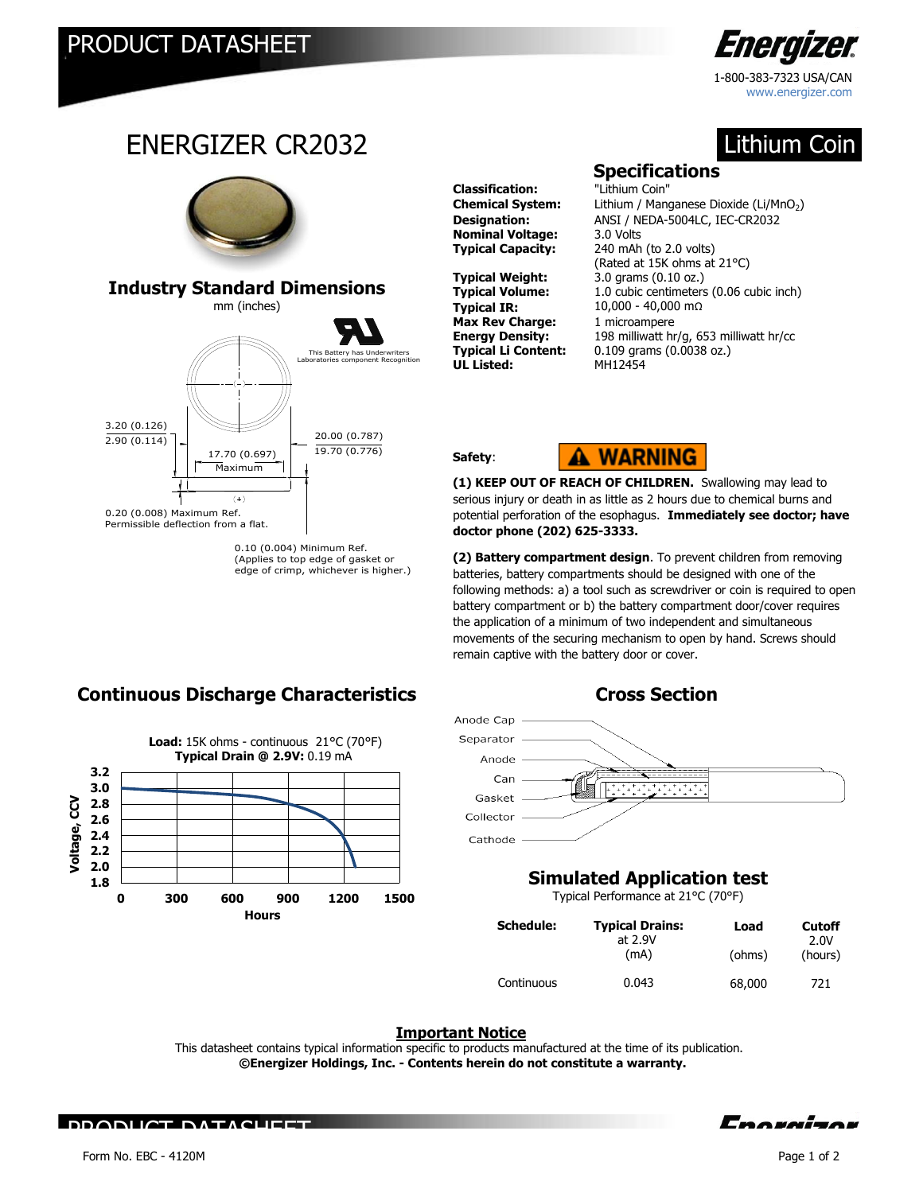3.20 (0.126) 2.90 (0.114)

0.20 (0.008) Maximum Ref. Permissible deflection from a flat.

ENERGIZER CR2032

mm (inches) **Industry Standard Dimensions**

> 17.70 (0.697) Maximum

> > $(+)$

20.00 (0.787) 19.70 (0.776)

This Battery has Underwriters

<u>.</u><br>onent Recognition

0.10 (0.004) Minimum Ref. (Applies to top edge of gasket or edge of crimp, whichever is higher.)



Lithium Coin

www.energizer.com

## **Specifications**

**Classification:** "Lithium Coin" **Nominal Voltage:** 3.0 Volts

**Typical Weight:** 3.0 grams (0.10 oz.)<br>**Typical Volume:** 1.0 cubic centimeters **Typical IR:** 10,000 - 40,000 mΩ **Max Rev Charge:** 1 microampere **UL Listed:** MH12454

**Chemical System:** Lithium / Manganese Dioxide (Li/MnO<sub>2</sub>) **Designation:** ANSI / NEDA-5004LC, IEC-CR2032 **Typical Capacity:** 240 mAh (to 2.0 volts) (Rated at 15K ohms at 21°C) 1.0 cubic centimeters (0.06 cubic inch) **Energy Density:** 198 milliwatt hr/g, 653 milliwatt hr/cc<br>**Typical Li Content:** 0.109 grams (0.0038 oz.) 0.109 grams (0.0038 oz.)

**Safety**:



**(1) KEEP OUT OF REACH OF CHILDREN.** Swallowing may lead to serious injury or death in as little as 2 hours due to chemical burns and potential perforation of the esophagus. **Immediately see doctor; have doctor phone (202) 625-3333.** 

**(2) Battery compartment design**. To prevent children from removing batteries, battery compartments should be designed with one of the following methods: a) a tool such as screwdriver or coin is required to open battery compartment or b) the battery compartment door/cover requires the application of a minimum of two independent and simultaneous movements of the securing mechanism to open by hand. Screws should remain captive with the battery door or cover.



# **Simulated Application test**

Typical Performance at 21°C (70°F)

| <b>Schedule:</b> | <b>Typical Drains:</b><br>at 2.9V | Load   | <b>Cutoff</b><br>2.0V |
|------------------|-----------------------------------|--------|-----------------------|
|                  | (mA)                              | (ohms) | (hours)               |
| Continuous       | 0.043                             | 68,000 | 721                   |

## **Important Notice**

This datasheet contains typical information specific to products manufactured at the time of its publication.  **©Energizer Holdings, Inc. - Contents herein do not constitute a warranty.**

# **Continuous Discharge Characteristics The Cross Section**



PRODUCT DATASHEET

Enovairor